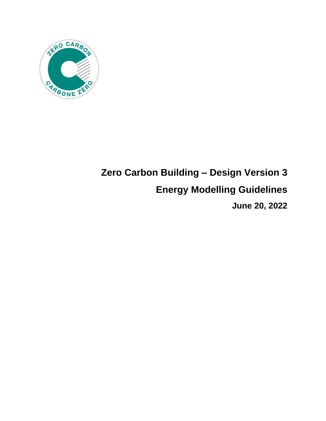

# **Zero Carbon Building – Design Version 3 Energy Modelling Guidelines June 20, 2022**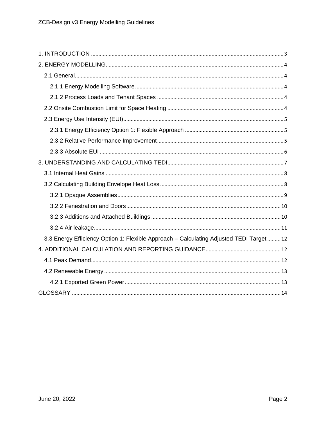| 3.3 Energy Efficiency Option 1: Flexible Approach - Calculating Adjusted TEDI Target  12 |
|------------------------------------------------------------------------------------------|
|                                                                                          |
|                                                                                          |
|                                                                                          |
|                                                                                          |
|                                                                                          |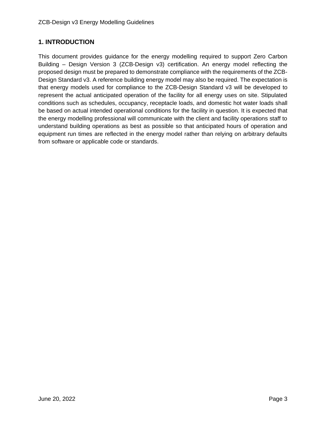# <span id="page-2-0"></span>**1. INTRODUCTION**

This document provides guidance for the energy modelling required to support Zero Carbon Building – Design Version 3 (ZCB-Design v3) certification. An energy model reflecting the proposed design must be prepared to demonstrate compliance with the requirements of the ZCB-Design Standard v3. A reference building energy model may also be required. The expectation is that energy models used for compliance to the ZCB-Design Standard v3 will be developed to represent the actual anticipated operation of the facility for all energy uses on site. Stipulated conditions such as schedules, occupancy, receptacle loads, and domestic hot water loads shall be based on actual intended operational conditions for the facility in question. It is expected that the energy modelling professional will communicate with the client and facility operations staff to understand building operations as best as possible so that anticipated hours of operation and equipment run times are reflected in the energy model rather than relying on arbitrary defaults from software or applicable code or standards.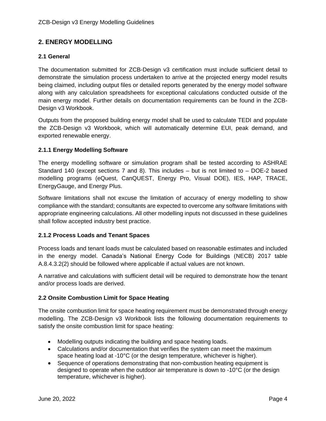# <span id="page-3-0"></span>**2. ENERGY MODELLING**

## <span id="page-3-1"></span>**2.1 General**

The documentation submitted for ZCB-Design v3 certification must include sufficient detail to demonstrate the simulation process undertaken to arrive at the projected energy model results being claimed, including output files or detailed reports generated by the energy model software along with any calculation spreadsheets for exceptional calculations conducted outside of the main energy model. Further details on documentation requirements can be found in the ZCB-Design v3 Workbook.

Outputs from the proposed building energy model shall be used to calculate TEDI and populate the ZCB-Design v3 Workbook, which will automatically determine EUI, peak demand, and exported renewable energy.

#### <span id="page-3-2"></span>**2.1.1 Energy Modelling Software**

The energy modelling software or simulation program shall be tested according to ASHRAE Standard 140 (except sections 7 and 8). This includes – but is not limited to – DOE-2 based modelling programs (eQuest, CanQUEST, Energy Pro, Visual DOE), IES, HAP, TRACE, EnergyGauge, and Energy Plus.

Software limitations shall not excuse the limitation of accuracy of energy modelling to show compliance with the standard; consultants are expected to overcome any software limitations with appropriate engineering calculations. All other modelling inputs not discussed in these guidelines shall follow accepted industry best practice.

#### <span id="page-3-3"></span>**2.1.2 Process Loads and Tenant Spaces**

Process loads and tenant loads must be calculated based on reasonable estimates and included in the energy model. Canada's National Energy Code for Buildings (NECB) 2017 table A.8.4.3.2(2) should be followed where applicable if actual values are not known.

A narrative and calculations with sufficient detail will be required to demonstrate how the tenant and/or process loads are derived.

#### <span id="page-3-4"></span>**2.2 Onsite Combustion Limit for Space Heating**

The onsite combustion limit for space heating requirement must be demonstrated through energy modelling. The ZCB-Design v3 Workbook lists the following documentation requirements to satisfy the onsite combustion limit for space heating:

- Modelling outputs indicating the building and space heating loads.
- Calculations and/or documentation that verifies the system can meet the maximum space heating load at -10°C (or the design temperature, whichever is higher).
- Sequence of operations demonstrating that non-combustion heating equipment is designed to operate when the outdoor air temperature is down to -10°C (or the design temperature, whichever is higher).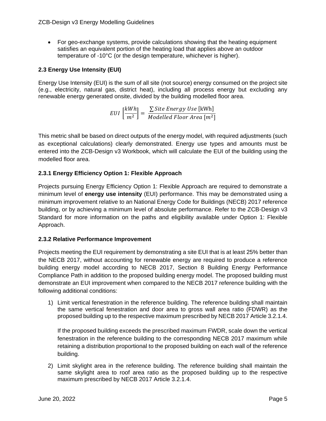• For geo-exchange systems, provide calculations showing that the heating equipment satisfies an equivalent portion of the heating load that applies above an outdoor temperature of -10°C (or the design temperature, whichever is higher).

# <span id="page-4-0"></span>**2.3 Energy Use Intensity (EUI)**

Energy Use Intensity (EUI) is the sum of all site (not source) energy consumed on the project site (e.g., electricity, natural gas, district heat), including all process energy but excluding any renewable energy generated onsite, divided by the building modelled floor area.

$$
EUI\left[\frac{kWh}{m^2}\right] = \frac{\sum Site Energy Use [kWh]}{Modelled Floor Area [m^2]}
$$

This metric shall be based on direct outputs of the energy model, with required adjustments (such as exceptional calculations) clearly demonstrated. Energy use types and amounts must be entered into the ZCB-Design v3 Workbook, which will calculate the EUI of the building using the modelled floor area.

# <span id="page-4-1"></span>**2.3.1 Energy Efficiency Option 1: Flexible Approach**

Projects pursuing Energy Efficiency Option 1: Flexible Approach are required to demonstrate a minimum level of **energy use intensity** (EUI) performance. This may be demonstrated using a minimum improvement relative to an National Energy Code for Buildings (NECB) 2017 reference building, or by achieving a minimum level of absolute performance. Refer to the ZCB-Design v3 Standard for more information on the paths and eligibility available under Option 1: Flexible Approach.

# <span id="page-4-2"></span>**2.3.2 Relative Performance Improvement**

Projects meeting the EUI requirement by demonstrating a site EUI that is at least 25% better than the NECB 2017, without accounting for renewable energy are required to produce a reference building energy model according to NECB 2017, Section 8 Building Energy Performance Compliance Path in addition to the proposed building energy model. The proposed building must demonstrate an EUI improvement when compared to the NECB 2017 reference building with the following additional conditions:

1) Limit vertical fenestration in the reference building. The reference building shall maintain the same vertical fenestration and door area to gross wall area ratio (FDWR) as the proposed building up to the respective maximum prescribed by NECB 2017 Article 3.2.1.4.

If the proposed building exceeds the prescribed maximum FWDR, scale down the vertical fenestration in the reference building to the corresponding NECB 2017 maximum while retaining a distribution proportional to the proposed building on each wall of the reference building.

2) Limit skylight area in the reference building. The reference building shall maintain the same skylight area to roof area ratio as the proposed building up to the respective maximum prescribed by NECB 2017 Article 3.2.1.4.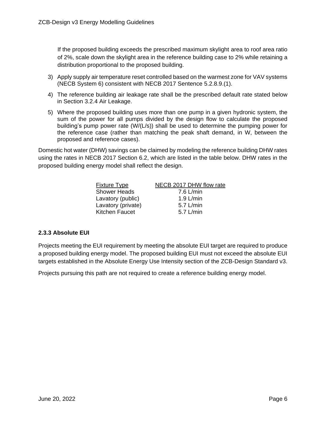If the proposed building exceeds the prescribed maximum skylight area to roof area ratio of 2%, scale down the skylight area in the reference building case to 2% while retaining a distribution proportional to the proposed building.

- 3) Apply supply air temperature reset controlled based on the warmest zone for VAV systems (NECB System 6) consistent with NECB 2017 Sentence 5.2.8.9.(1).
- 4) The reference building air leakage rate shall be the prescribed default rate stated below in Section 3.2.4 Air Leakage.
- 5) Where the proposed building uses more than one pump in a given hydronic system, the sum of the power for all pumps divided by the design flow to calculate the proposed building's pump power rate (W/(L/s)) shall be used to determine the pumping power for the reference case (rather than matching the peak shaft demand, in W, between the proposed and reference cases).

Domestic hot water (DHW) savings can be claimed by modeling the reference building DHW rates using the rates in NECB 2017 Section 6.2, which are listed in the table below. DHW rates in the proposed building energy model shall reflect the design.

| <b>Fixture Type</b>   | NECB 2017 DHW flow rate |
|-----------------------|-------------------------|
| <b>Shower Heads</b>   | $7.6$ L/min             |
| Lavatory (public)     | $1.9$ L/min             |
| Lavatory (private)    | 5.7 $L/min$             |
| <b>Kitchen Faucet</b> | $5.7$ L/min             |
|                       |                         |

# <span id="page-5-0"></span>**2.3.3 Absolute EUI**

Projects meeting the EUI requirement by meeting the absolute EUI target are required to produce a proposed building energy model. The proposed building EUI must not exceed the absolute EUI targets established in the Absolute Energy Use Intensity section of the ZCB-Design Standard v3.

Projects pursuing this path are not required to create a reference building energy model.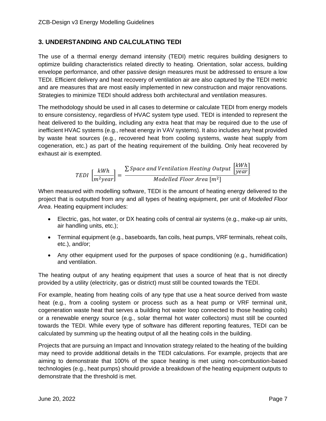# <span id="page-6-0"></span>**3. UNDERSTANDING AND CALCULATING TEDI**

The use of a thermal energy demand intensity (TEDI) metric requires building designers to optimize building characteristics related directly to heating. Orientation, solar access, building envelope performance, and other passive design measures must be addressed to ensure a low TEDI. Efficient delivery and heat recovery of ventilation air are also captured by the TEDI metric and are measures that are most easily implemented in new construction and major renovations. Strategies to minimize TEDI should address both architectural and ventilation measures.

The methodology should be used in all cases to determine or calculate TEDI from energy models to ensure consistency, regardless of HVAC system type used. TEDI is intended to represent the heat delivered to the building, including any extra heat that may be required due to the use of inefficient HVAC systems (e.g., reheat energy in VAV systems). It also includes any heat provided by waste heat sources (e.g., recovered heat from cooling systems, waste heat supply from cogeneration, etc.) as part of the heating requirement of the building. Only heat recovered by exhaust air is exempted.

$$
TEDI\left[\frac{kWh}{m^2year}\right] = \frac{\sum Space\ and\ Ventilation\ Heating\ Output\ \left[\frac{kWh}{year}\right]}{Modelled\ Floor\ Area\ [m^2]}
$$

When measured with modelling software, TEDI is the amount of heating energy delivered to the project that is outputted from any and all types of heating equipment, per unit of *Modelled Floor Area*. Heating equipment includes:

- Electric, gas, hot water, or DX heating coils of central air systems (e.g., make-up air units, air handling units, etc.);
- Terminal equipment (e.g., baseboards, fan coils, heat pumps, VRF terminals, reheat coils, etc.), and/or;
- Any other equipment used for the purposes of space conditioning (e.g., humidification) and ventilation.

The heating output of any heating equipment that uses a source of heat that is not directly provided by a utility (electricity, gas or district) must still be counted towards the TEDI.

For example, heating from heating coils of any type that use a heat source derived from waste heat (e.g., from a cooling system or process such as a heat pump or VRF terminal unit, cogeneration waste heat that serves a building hot water loop connected to those heating coils) or a renewable energy source (e.g., solar thermal hot water collectors) must still be counted towards the TEDI. While every type of software has different reporting features, TEDI can be calculated by summing up the heating output of all the heating coils in the building.

Projects that are pursuing an Impact and Innovation strategy related to the heating of the building may need to provide additional details in the TEDI calculations. For example, projects that are aiming to demonstrate that 100% of the space heating is met using non-combustion-based technologies (e.g., heat pumps) should provide a breakdown of the heating equipment outputs to demonstrate that the threshold is met.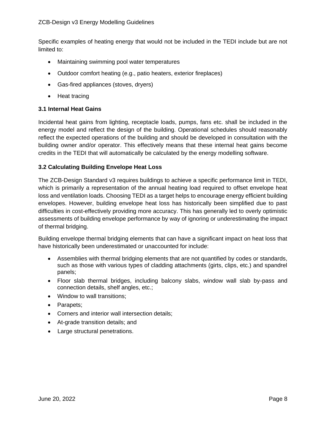Specific examples of heating energy that would not be included in the TEDI include but are not limited to:

- Maintaining swimming pool water temperatures
- Outdoor comfort heating (e.g., patio heaters, exterior fireplaces)
- Gas-fired appliances (stoves, dryers)
- Heat tracing

#### <span id="page-7-0"></span>**3.1 Internal Heat Gains**

Incidental heat gains from lighting, receptacle loads, pumps, fans etc. shall be included in the energy model and reflect the design of the building. Operational schedules should reasonably reflect the expected operations of the building and should be developed in consultation with the building owner and/or operator. This effectively means that these internal heat gains become credits in the TEDI that will automatically be calculated by the energy modelling software.

## <span id="page-7-1"></span>**3.2 Calculating Building Envelope Heat Loss**

The ZCB-Design Standard v3 requires buildings to achieve a specific performance limit in TEDI, which is primarily a representation of the annual heating load required to offset envelope heat loss and ventilation loads. Choosing TEDI as a target helps to encourage energy efficient building envelopes. However, building envelope heat loss has historically been simplified due to past difficulties in cost-effectively providing more accuracy. This has generally led to overly optimistic assessments of building envelope performance by way of ignoring or underestimating the impact of thermal bridging.

Building envelope thermal bridging elements that can have a significant impact on heat loss that have historically been underestimated or unaccounted for include:

- Assemblies with thermal bridging elements that are not quantified by codes or standards, such as those with various types of cladding attachments (girts, clips, etc.) and spandrel panels;
- Floor slab thermal bridges, including balcony slabs, window wall slab by-pass and connection details, shelf angles, etc.;
- Window to wall transitions;
- Parapets;
- Corners and interior wall intersection details;
- At-grade transition details; and
- Large structural penetrations.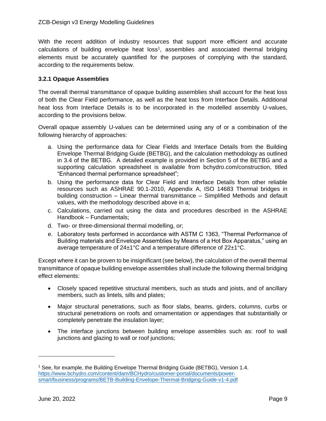With the recent addition of industry resources that support more efficient and accurate calculations of building envelope heat loss<sup>1</sup>, assemblies and associated thermal bridging elements must be accurately quantified for the purposes of complying with the standard, according to the requirements below.

## <span id="page-8-0"></span>**3.2.1 Opaque Assemblies**

The overall thermal transmittance of opaque building assemblies shall account for the heat loss of both the Clear Field performance, as well as the heat loss from Interface Details. Additional heat loss from Interface Details is to be incorporated in the modelled assembly U-values, according to the provisions below.

Overall opaque assembly U-values can be determined using any of or a combination of the following hierarchy of approaches:

- a. Using the performance data for Clear Fields and Interface Details from the Building Envelope Thermal Bridging Guide (BETBG), and the calculation methodology as outlined in 3.4 of the BETBG. A detailed example is provided in Section 5 of the BETBG and a supporting calculation spreadsheet is available from bchydro.com/construction, titled "Enhanced thermal performance spreadsheet";
- b. Using the performance data for Clear Field and Interface Details from other reliable resources such as ASHRAE 90.1-2010, Appendix A, ISO 14683 Thermal bridges in building construction – Linear thermal transmittance – Simplified Methods and default values, with the methodology described above in a;
- c. Calculations, carried out using the data and procedures described in the ASHRAE Handbook – Fundamentals;
- d. Two- or three-dimensional thermal modelling, or;
- e. Laboratory tests performed in accordance with ASTM C 1363, "Thermal Performance of Building materials and Envelope Assemblies by Means of a Hot Box Apparatus," using an average temperature of 24±1°C and a temperature difference of 22±1°C.

Except where it can be proven to be insignificant (see below), the calculation of the overall thermal transmittance of opaque building envelope assemblies shall include the following thermal bridging effect elements:

- Closely spaced repetitive structural members, such as studs and joists, and of ancillary members, such as lintels, sills and plates;
- Major structural penetrations, such as floor slabs, beams, girders, columns, curbs or structural penetrations on roofs and ornamentation or appendages that substantially or completely penetrate the insulation layer;
- The interface junctions between building envelope assembles such as: roof to wall junctions and glazing to wall or roof junctions;

<sup>1</sup> See, for example, the Building Envelope Thermal Bridging Guide (BETBG), Version 1.4. [https://www.bchydro.com/content/dam/BCHydro/customer-portal/documents/power](https://www.bchydro.com/content/dam/BCHydro/customer-portal/documents/power-smart/business/programs/BETB-Building-Envelope-Thermal-Bridging-Guide-v1-4.pdf)[smart/business/programs/BETB-Building-Envelope-Thermal-Bridging-Guide-v1-4.pdf](https://www.bchydro.com/content/dam/BCHydro/customer-portal/documents/power-smart/business/programs/BETB-Building-Envelope-Thermal-Bridging-Guide-v1-4.pdf)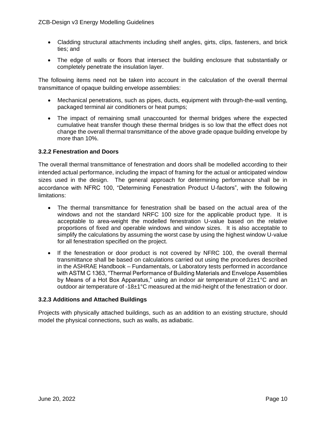- Cladding structural attachments including shelf angles, girts, clips, fasteners, and brick ties; and
- The edge of walls or floors that intersect the building enclosure that substantially or completely penetrate the insulation layer.

The following items need not be taken into account in the calculation of the overall thermal transmittance of opaque building envelope assemblies:

- Mechanical penetrations, such as pipes, ducts, equipment with through-the-wall venting, packaged terminal air conditioners or heat pumps;
- The impact of remaining small unaccounted for thermal bridges where the expected cumulative heat transfer though these thermal bridges is so low that the effect does not change the overall thermal transmittance of the above grade opaque building envelope by more than 10%.

## <span id="page-9-0"></span>**3.2.2 Fenestration and Doors**

The overall thermal transmittance of fenestration and doors shall be modelled according to their intended actual performance, including the impact of framing for the actual or anticipated window sizes used in the design. The general approach for determining performance shall be in accordance with NFRC 100, "Determining Fenestration Product U-factors", with the following limitations:

- The thermal transmittance for fenestration shall be based on the actual area of the windows and not the standard NRFC 100 size for the applicable product type. It is acceptable to area-weight the modelled fenestration U-value based on the relative proportions of fixed and operable windows and window sizes. It is also acceptable to simplify the calculations by assuming the worst case by using the highest window U-value for all fenestration specified on the project.
- If the fenestration or door product is not covered by NFRC 100, the overall thermal transmittance shall be based on calculations carried out using the procedures described in the ASHRAE Handbook – Fundamentals, or Laboratory tests performed in accordance with ASTM C 1363, "Thermal Performance of Building Materials and Envelope Assemblies by Means of a Hot Box Apparatus," using an indoor air temperature of 21±1°C and an outdoor air temperature of -18±1°C measured at the mid-height of the fenestration or door.

#### <span id="page-9-1"></span>**3.2.3 Additions and Attached Buildings**

Projects with physically attached buildings, such as an addition to an existing structure, should model the physical connections, such as walls, as adiabatic.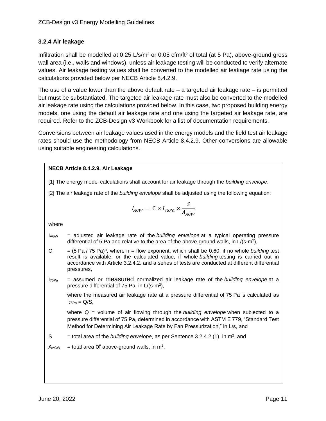# <span id="page-10-0"></span>**3.2.4 Air leakage**

Infiltration shall be modelled at 0.25 L/s/m<sup>2</sup> or 0.05 cfm/ft<sup>2</sup> of total (at 5 Pa), above-ground gross wall area (i.e., walls and windows), unless air leakage testing will be conducted to verify alternate values. Air leakage testing values shall be converted to the modelled air leakage rate using the calculations provided below per NECB Article 8.4.2.9.

The use of a value lower than the above default rate  $-$  a targeted air leakage rate  $-$  is permitted but must be substantiated. The targeted air leakage rate must also be converted to the modelled air leakage rate using the calculations provided below. In this case, two proposed building energy models, one using the default air leakage rate and one using the targeted air leakage rate, are required. Refer to the ZCB-Design v3 Workbook for a list of documentation requirements.

Conversions between air leakage values used in the energy models and the field test air leakage rates should use the methodology from NECB Article 8.4.2.9. Other conversions are allowable using suitable engineering calculations.

**NECB Article 8.4.2.9. Air Leakage**\n[1] The energy model calculations shall account for air leakage through the building envelope.

\n[2] The air leakage rate of the building envelope shall be adjusted using the following equation:

\n
$$
I_{AGW} = C \times I_{75Pa} \times \frac{S}{A_{AGW}}
$$
\nwhere

\n= adjusted air leakage rate of the building envelope at a typical operating pressure differential of 5 Pa and relative to the area of the above-ground walls, in  $L(s \cdot m^2)$ ,  $= (5 Pa / 75 Pa)^n$ , where n = flow exponent, which shall be 0.60, if no whole building test result is available, or the calculated value, if whole building testing is carried out in accordance with Article 3.2.4.2 and a series of tests are conducted at different differential pressures.

\n $I_{75Pa} =$  assumed or measured normalized air leakage rate of the building envelope at a pressure differential of 75 Pa, in  $L(s \cdot m^2)$ , where the measured air leakage rate at a pressure differential of 75 Pa is calculated as  $I_{75Pa} = Q/S$ , where Q = volume of air flowing through the building envelope when subjected to a pressure differential of 75 Pa, determined in accordance with ASTM E 779, "Standard Test Method for Determining Air Leakage Rate by Fan Pressurization," in L/s, and = total area of the building envelope, as per Sentence 3.2.4.2. (1), in  $m^2$ , and  $M_{AGW} =$  total area of above-ground walls, in  $m^2$ .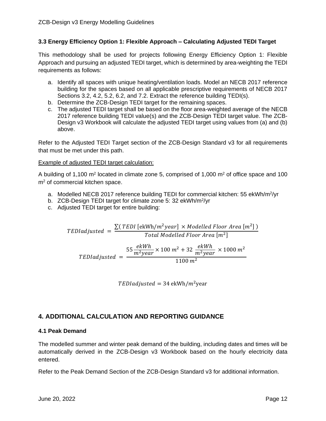## <span id="page-11-0"></span>**3.3 Energy Efficiency Option 1: Flexible Approach – Calculating Adjusted TEDI Target**

This methodology shall be used for projects following Energy Efficiency Option 1: Flexible Approach and pursuing an adjusted TEDI target, which is determined by area-weighting the TEDI requirements as follows:

- a. Identify all spaces with unique heating/ventilation loads. Model an NECB 2017 reference building for the spaces based on all applicable prescriptive requirements of NECB 2017 Sections 3.2, 4.2, 5.2, 6.2, and 7.2. Extract the reference building TEDI(s).
- b. Determine the ZCB-Design TEDI target for the remaining spaces.
- c. The adjusted TEDI target shall be based on the floor area-weighted average of the NECB 2017 reference building TEDI value(s) and the ZCB-Design TEDI target value. The ZCB-Design v3 Workbook will calculate the adjusted TEDI target using values from (a) and (b) above.

Refer to the Adjusted TEDI Target section of the ZCB-Design Standard v3 for all requirements that must be met under this path.

#### Example of adjusted TEDI target calculation:

A building of 1,100 m<sup>2</sup> located in climate zone 5, comprised of 1,000 m<sup>2</sup> of office space and 100 m<sup>2</sup> of commercial kitchen space.

- a. Modelled NECB 2017 reference building TEDI for commercial kitchen: 55 ekWh/m<sup>2</sup>/yr
- b. ZCB-Design TEDI target for climate zone 5: 32 ekWh/m<sup>2</sup>/yr
- c. Adjusted TEDI target for entire building:

$$
TEDladjusted = \frac{\sum (TEDI \text{ [ekWh/m}^2 year] \times Modelled Floor Area [m^2])}{Total Modelled Floor Area [m^2]}
$$
\n
$$
TEDladjusted = \frac{55 \frac{ekWh}{m^2 year} \times 100 m^2 + 32 \frac{ekWh}{m^2 year} \times 1000 m^2}{1100 m^2}
$$

 $TEDladiusted = 34$  ekWh/ $m^2$ year

# <span id="page-11-1"></span>**4. ADDITIONAL CALCULATION AND REPORTING GUIDANCE**

#### <span id="page-11-2"></span>**4.1 Peak Demand**

The modelled summer and winter peak demand of the building, including dates and times will be automatically derived in the ZCB-Design v3 Workbook based on the hourly electricity data entered.

Refer to the Peak Demand Section of the ZCB-Design Standard v3 for additional information.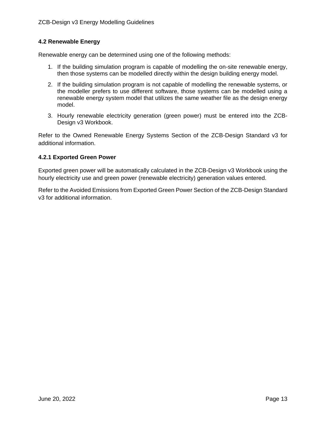#### <span id="page-12-0"></span>**4.2 Renewable Energy**

Renewable energy can be determined using one of the following methods:

- 1. If the building simulation program is capable of modelling the on-site renewable energy, then those systems can be modelled directly within the design building energy model.
- 2. If the building simulation program is not capable of modelling the renewable systems, or the modeller prefers to use different software, those systems can be modelled using a renewable energy system model that utilizes the same weather file as the design energy model.
- 3. Hourly renewable electricity generation (green power) must be entered into the ZCB-Design v3 Workbook.

Refer to the Owned Renewable Energy Systems Section of the ZCB-Design Standard v3 for additional information.

#### <span id="page-12-1"></span>**4.2.1 Exported Green Power**

Exported green power will be automatically calculated in the ZCB-Design v3 Workbook using the hourly electricity use and green power (renewable electricity) generation values entered.

Refer to the Avoided Emissions from Exported Green Power Section of the ZCB-Design Standard v3 for additional information.